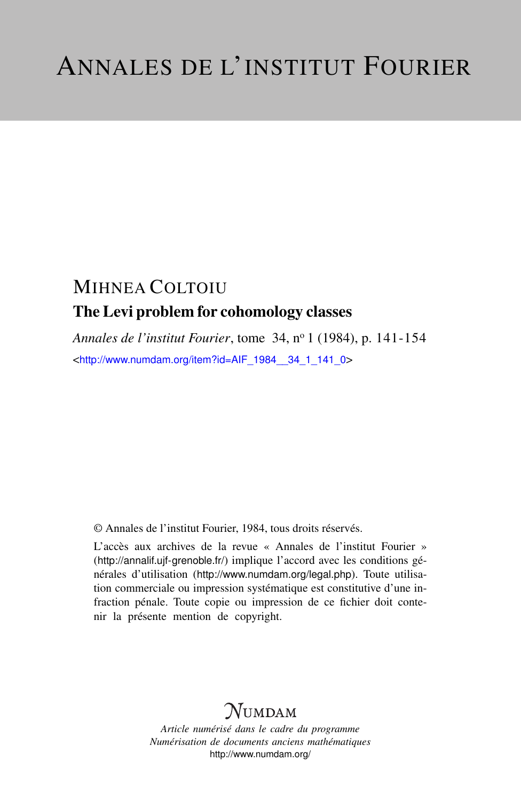# MIHNEA COLTOIU The Levi problem for cohomology classes

*Annales de l'institut Fourier*, tome 34, n<sup>o</sup> 1 (1984), p. 141-154 <[http://www.numdam.org/item?id=AIF\\_1984\\_\\_34\\_1\\_141\\_0](http://www.numdam.org/item?id=AIF_1984__34_1_141_0)>

© Annales de l'institut Fourier, 1984, tous droits réservés.

L'accès aux archives de la revue « Annales de l'institut Fourier » (<http://annalif.ujf-grenoble.fr/>) implique l'accord avec les conditions générales d'utilisation (<http://www.numdam.org/legal.php>). Toute utilisation commerciale ou impression systématique est constitutive d'une infraction pénale. Toute copie ou impression de ce fichier doit contenir la présente mention de copyright.

# **NUMDAM**

*Article numérisé dans le cadre du programme Numérisation de documents anciens mathématiques* <http://www.numdam.org/>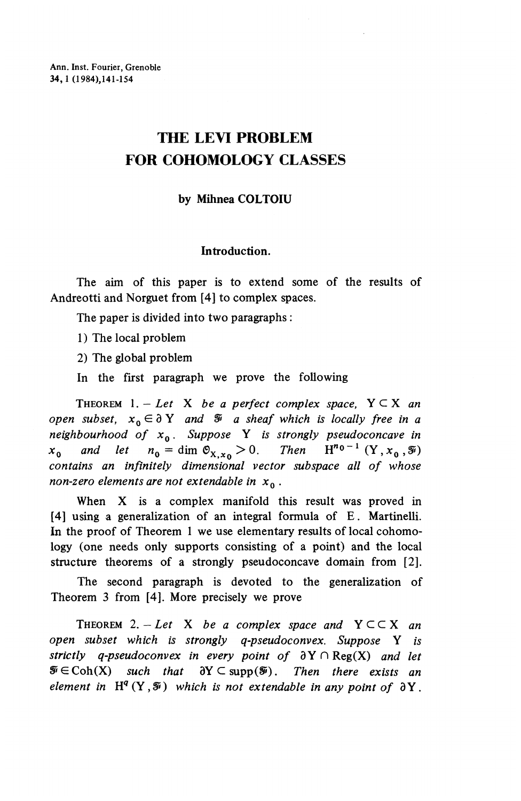# **THE LEVI PROBLEM FOR COHOMOLOGY CLASSES**

## **by Mihnea COLTOIU**

### **Introduction.**

The aim of this paper is to extend some of the results of Andreotti and Norguet from [4] to complex spaces.

The paper is divided into two paragraphs :

1) The local problem

2) The global problem

In the first paragraph we prove the following

THEOREM  $1. - Let X$  be a perfect complex space,  $Y \subseteq X$  an *open subset,*  $x_0 \in \partial Y$  *and*  $\tilde{x}$  *a sheaf which is locally free in a neighbourhood of XQ. Suppose* Y *is strongly pseudoconcave in x*<sub>0</sub> and let  $n_0 = \dim \mathfrak{O}_{X,x_0} > 0$ . Then  $H^{n_0-1}(Y, x_0, \mathcal{O}_{X,x_0})$ *contains an infinitely dimensional vector subspace all of whose* non-zero elements are not extendable in  $x<sub>0</sub>$ .

When X is a complex manifold this result was proved in [4] using a generalization of an integral formula of E. Martinelli. In the proof of Theorem 1 we use elementary results of local cohomology (one needs only supports consisting of a point) and the local structure theorems of a strongly pseudoconcave domain from [2].

The second paragraph is devoted to the generalization of Theorem 3 from [4]. More precisely we prove

THEOREM 2. - Let X be a complex space and  $Y \subset \subset X$  an *open subset which is strongly q-pseudoconvex. Suppose* Y *is strictly q-pseudoconvex in every point of* 3Y n Reg(X) *and let*  $\mathcal{F} \in \text{Coh}(X)$  such that  $\partial Y \subset \text{supp}(\mathcal{F})$ . Then there exists an *element in*  $H^{q}(Y, \mathcal{F})$  *which is not extendable in any point of*  $\partial Y$ .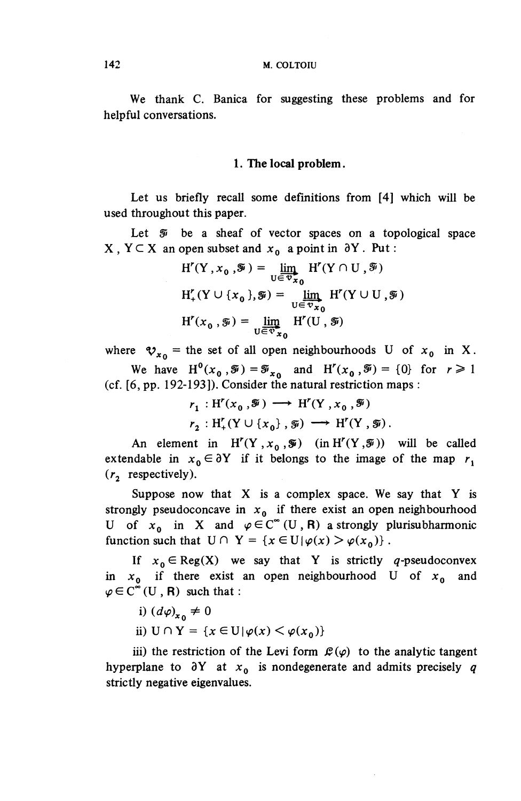We thank C. Banica for suggesting these problems and for helpful conversations.

#### **1. The local problem.**

Let us briefly recall some definitions from [4] which will be used throughout this paper.

Let *Si* be a sheaf of vector spaces on a topological space  $X, Y \subseteq X$  an open subset and  $x_0$  a point in  $\partial Y$ . Put :

$$
H'(Y, x_0, \mathcal{F}) = \lim_{U \in \mathcal{V}_{x_0}} H'(Y \cap U, \mathcal{F})
$$
  

$$
H'_+(Y \cup \{x_0\}, \mathcal{F}) = \lim_{U \in \mathcal{V}_{x_0}} H'(Y \cup U, \mathcal{F})
$$
  

$$
H'(x_0, \mathcal{F}) = \lim_{U \in \mathcal{V}_{x_0}} H'(U, \mathcal{F})
$$

where  $v_{x_0}$  = the set of all open neighbourhoods U of  $x_0$  in X. We have  $H^0(x_0, \tilde{y}) = \tilde{y}_{x_0}$  and  $H'(x_0, \tilde{y}) = \{0\}$  for  $r \ge 1$ (cf. [6, pp. 192-193]). Consider the natural restriction maps :

$$
r_1: H^r(x_0, \mathcal{F}) \longrightarrow H^r(Y, x_0, \mathcal{F})
$$
  

$$
r_2: H^r_+(Y \cup \{x_0\}, \mathcal{F}) \longrightarrow H^r(Y, \mathcal{F}).
$$

An element in  $H'(Y,x_0,\mathcal{F})$  (in  $H'(Y,\mathcal{F})$ ) will be called extendable in  $x_0 \in \partial Y$  if it belongs to the image of the map  $r_1$  $(r<sub>2</sub>$  respectively).

Suppose now that  $X$  is a complex space. We say that  $Y$  is strongly pseudoconcave in  $x_0$  if there exist an open neighbourhood U of  $x_0$  in X and  $\varphi \in C^{\infty}(U, R)$  a strongly plurisubharmonic function such that  $U \cap Y = \{x \in U | \varphi(x) > \varphi(x_0)\}\.$ 

If  $x_0 \in \text{Reg}(X)$  we say that Y is strictly q-pseudoconvex in *XQ* if there exist an open neighbourhood U of *XQ* and  $\varphi \in C^{\infty}(U, R)$  such that:

- i)  $(d\varphi)_{x_0} \neq 0$
- ii)  $U \cap Y = \{x \in U | \varphi(x) \leq \varphi(x_0)\}\$

iii) the restriction of the Levi form  $\mathcal{L}(\varphi)$  to the analytic tangent hyperplane to  $\partial Y$  at  $x_0$  is nondegenerate and admits precisely q strictly negative eigenvalues.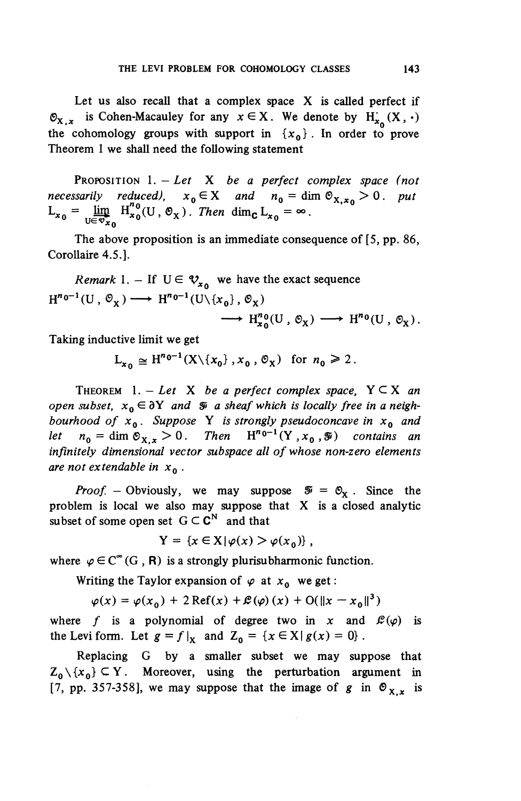Let us also recall that a complex space X is called perfect if  $\mathfrak{O}_x$ . is Cohen-Macauley for any  $x \in X$ . We denote by  $H^1_{x}(X, \cdot)$ the cohomology groups with support in  $\{x_0\}$ . In order to prove Theorem 1 we shall need the following statement

PROPOSITION 1. - *Let* X *be a perfect complex space (not necessarily reduced),*  $x_0 \in X$  and  $n_0 = \dim \mathfrak{S}_{X,x_0} > 0$ . purposes the necessarily reduced),  $x_0 \in X$  and  $n_0 = \dim \mathfrak{S}_{X,x_0} > 0$ .  $L_{x_0} = \lim_{U \in \mathcal{D}_{x_0}} H_{x_0}^{n_0}(U, \mathcal{O}_X)$ . Then dim<sub>c</sub>  $L_{x_0} = \infty$ .

The above proposition is an immediate consequence of [5, pp. 86, Corollaire 4.5.].

*Remark* 1. – If  $U \in \mathcal{V}_{x_0}$  we have the exact sequence  $H^{n_0-1}(U, \mathcal{O}_X) \longrightarrow H^{n_0-1}(U\backslash\{x_0\}, \mathcal{O}_X)$  $\longrightarrow H^{n}_{x_0}(U,\mathfrak{O}_X) \longrightarrow H^{n_0}(U,\mathfrak{O}_X).$ 

Taking inductive limit we get

$$
L_{x_0} \cong H^{n_0-1}(X \setminus \{x_0\}, x_0, \mathfrak{S}_X) \text{ for } n_0 \ge 2.
$$

THEOREM  $1. - Let X$  be a perfect complex space,  $Y \subseteq X$  an *open subset,*  $x_0 \in \partial Y$  and  $\tilde{x}$  a sheaf which is locally free in a neigh*bourhood of XQ . Suppose* Y *is strongly pseudoconcave in XQ and let*  $n_0 = \dim \mathfrak{S}_{\mathbf{X} \times \mathbf{Y}} > 0$ . Then  $\mathbf{H}^{n_0-1}(\mathbf{Y}, \mathbf{x}_0, \mathbf{Y})$  contains an *let*  $n_0 = \dim \mathcal{O}_{X,x} > 0$ . Then  $H^{n_0-1}(Y, x_0, \mathcal{F})$  contains an infinitely dimensional vector subspace all of whose non-zero elements *are not extendable in XQ* .

*Proof.* – Obviously, we may suppose  $\mathcal{F} = \mathcal{O}_X$ . Since the problem is local we also may suppose that X is a closed analytic subset of some open set  $G \subset \mathbb{C}^N$  and that

$$
Y = \{x \in X | \varphi(x) > \varphi(x_0)\}\,
$$

where  $\varphi \in C^{\infty}(G, R)$  is a strongly plurisubharmonic function.

Writing the Taylor expansion of  $\varphi$  at  $x_0$  we get:

$$
\varphi(x) = \varphi(x_0) + 2 \operatorname{Ref}(x) + \mathcal{L}(\varphi)(x) + O(||x - x_0||^3)
$$

where f is a polynomial of degree two in x and  $\mathcal{L}(\varphi)$  is the Levi form. Let  $g = f|_{x}$  and  $Z_0 = \{x \in X | g(x) = 0\}$ .

Replacing G by a smaller subset we may suppose that  $Z_0 \setminus \{x_0\} \subseteq Y$ . Moreover, using the perturbation argument in [7, pp. 357-358], we may suppose that the image of g in  $\mathcal{O}_{x}$ , is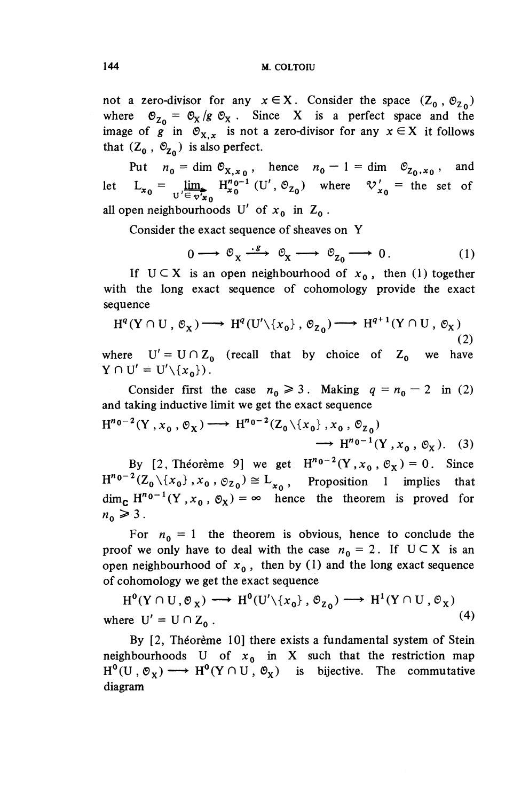not a zero-divisor for any  $x \in X$ . Consider the space  $(Z_0, \mathcal{O}_{Z_0})$ where  $\mathfrak{O}_{Z_0} = \mathfrak{O}_X/g \mathfrak{O}_X$ . Since X is a perfect space and the image of g in  $\mathcal{O}_{X,x}$  is not a zero-divisor for any  $x \in X$  it follows that  $(Z_0, \overline{Q_2})$  is also perfect

Put  $n_0 = \dim \mathfrak{S}_{X,x_0}$ , hence  $n_0 - 1 = \dim \mathfrak{S}_{Z_0,x_0}$ , and that  $(Z_0, \Theta_{Z_0})$  is also perfect.<br>
Put  $n_0 = \dim \Theta_{X,x_0}$ , hence  $n_0 - 1 = \dim \Theta_{Z_0,x_0}$ , and<br>
let  $L_{x_0} = \lim_{U' \in \Psi_{x_0}^*} H_{x_0}^{n_0 - 1} (U', \Theta_{Z_0})$  where  $\mathcal{V}_{x_0}' =$  the set of all open neighbourhoods U' of  $x_0$  in  $Z_0$ .

Consider the exact sequence of sheaves on Y

$$
0 \longrightarrow \mathcal{O}_X \xrightarrow{\cdot \mathcal{S}} \mathcal{O}_X \longrightarrow \mathcal{O}_{Z_0} \longrightarrow 0. \tag{1}
$$

If  $U \subset X$  is an open neighbourhood of  $x_0$ , then (1) together with the long exact sequence of cohomology provide the exact sequence

$$
H^{q}(Y \cap U, \mathcal{O}_{X}) \longrightarrow H^{q}(U' \setminus \{x_{0}\}, \mathcal{O}_{Z_{0}}) \longrightarrow H^{q+1}(Y \cap U, \mathcal{O}_{X})
$$
\n(2)

where  $U' = U \cap Z_0$  (recall that by choice of  $Z_0$  we have  $Y \cap U' = U' \setminus \{x_{0}\}\).$ 

Consider first the case  $n_0 \ge 3$ . Making  $q = n_0 - 2$  in (2) and taking inductive limit we get the exact sequence

$$
H^{n_0-2}(Y, x_0, \mathcal{O}_X) \longrightarrow H^{n_0-2}(Z_0 \setminus \{x_0\}, x_0, \mathcal{O}_{Z_0})
$$
  

$$
\longrightarrow H^{n_0-1}(Y, x_0, \mathcal{O}_X).
$$
 (3)

By [2, Théorème 9] we get  $H^{n_0-2}(Y, x_0, \mathcal{O}_X) = 0$ . Since By [2, Théorème 9] we get  $H^{n_0-2}(Y, x_0, \mathcal{O}_X) = 0$ . Since  $H^{n_0-2}(Z_0 \setminus \{x_0\}, x_0, \mathcal{O}_{Z_0}) \cong L_{x_0}$ , Proposition 1 implies that  $\dim_{\mathbf{C}} H^{n_0-1}(Y, x_0, \mathcal{O}_X) = \infty$  hence the theorem is proved for  $n_{\rm o} \geqslant 3$ .

For  $n_0 = 1$  the theorem is obvious, hence to conclude the proof we only have to deal with the case  $n_0 = 2$ . If  $U \subset X$  is an open neighbourhood of  $x_0$ , then by (1) and the long exact sequence of cohomology we get the exact sequence

 $H^0(Y \cap U, \mathcal{O}_X) \longrightarrow H^0(U' \setminus \{x_0\}, \mathcal{O}_{Z_0}) \longrightarrow H^1(Y \cap U, \mathcal{O}_X)$ where  $U' = U \cap Z_0$ .  $(4)$ 

By [2, Théorème 10] there exists a fundamental system of Stein neighbourhoods U of  $x_0$  in X such that the restriction map  $H^0(U, \mathcal{O}_X) \longrightarrow H^0(Y \cap U, \mathcal{O}_X)$  is bijective. The commutative diagram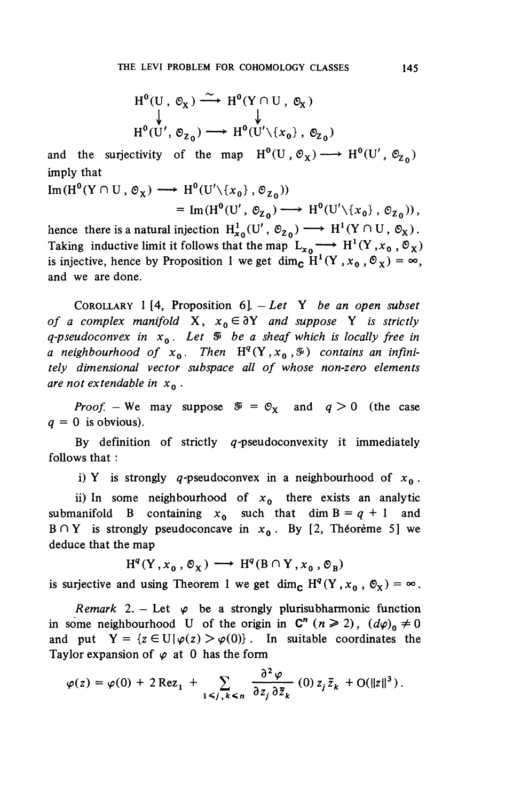$$
H^{0}(U, \mathcal{O}_{X}) \xrightarrow{\sim} H^{0}(Y \cap U, \mathcal{O}_{X})
$$
  

$$
\downarrow \qquad \qquad \downarrow
$$
  

$$
H^{0}(U', \mathcal{O}_{Z_{0}}) \longrightarrow H^{0}(U' \setminus \{x_{0}\}, \mathcal{O}_{Z_{0}})
$$

and the surjectivity of the map  $H^0(U, \mathcal{O}_X) \longrightarrow H^0(U', \mathcal{O}_{Z_0})$ imply that

Im(H<sup>0</sup>(Y 
$$
\cap
$$
 U,  $\varnothing_{X}$ )  $\longrightarrow$  H<sup>0</sup>(U' $\{x_{0}\}, \varnothing_{Z_{0}})$ )  
= Im(H<sup>0</sup>(U',  $\varnothing_{Z_{0}}$ )  $\longrightarrow$  H<sup>0</sup>(U' $\{x_{0}\}, \varnothing_{Z_{0}})$ ),

hence there is a natural injection  $H^1_{x_0}(U', \mathcal{O}_{Z_0}) \longrightarrow H^1(Y \cap U, \mathcal{O}_X)$ . Taking inductive limit it follows that the map  $L_{x_0} \longrightarrow H^1(Y, x_0, \mathcal{O}_X)$ is injective, hence by Proposition 1 we get dim<sub>c</sub>  $H^1(Y, x_0, \mathcal{O}_X) = \infty$ , and we are done.

COROLLARY 1<sup>[4</sup>, Proposition 6]. – Let Y be an open subset *of a complex manifold*  $X$ ,  $x_0 \in \partial Y$  *and suppose* Y *is strictly q-pseudoconvex in XQ . Let Sf be a sheaf which is locally free in a* neighbourhood of  $x_0$ . Then  $H^q(Y, x_0, \mathcal{F})$  contains an infini*tely dimensional vector subspace all of whose non-zero elements are not extendable in XQ* .

*Proof.* – We may suppose  $\mathcal{F} = \mathcal{O}_x$  and  $q > 0$  (the case  $q = 0$  is obvious).

By definition of strictly  $q$ -pseudoconvexity it immediately follows that :

i) Y is strongly  $q$ -pseudoconvex in a neighbourhood of  $x_0$ .

ii) In some neighbourhood of  $x_0$  there exists an analytic submanifold B containing  $x_0$  such that dim  $B = q + 1$  and  $B \cap Y$  is strongly pseudoconcave in  $x_0$ . By [2, Théorème 5] we deduce that the map

 $H^q(Y, x_0, \mathcal{O}_X) \longrightarrow H^q(B \cap Y, x_0, \mathcal{O}_B)$ 

is surjective and using Theorem 1 we get dim<sub>c</sub>  $H^{q}(Y,x_{0},\mathcal{O}_{X}) = \infty$ .

*Remark* 2. – Let  $\varphi$  be a strongly plurisubharmonic function in some neighbourhood U of the origin in  $C^n$  ( $n \ge 2$ ),  $(d\varphi)_0 \ne 0$ and put  $Y = \{z \in U | \varphi(z) > \varphi(0)\}\$ . In suitable coordinates the Taylor expansion of  $\varphi$  at 0 has the form

$$
\varphi(z) = \varphi(0) + 2 \operatorname{Re} z_1 + \sum_{1 \le j, k \le n} \frac{\partial^2 \varphi}{\partial z_j \partial \overline{z}_k} (0) z_j \overline{z}_k + O(||z||^3).
$$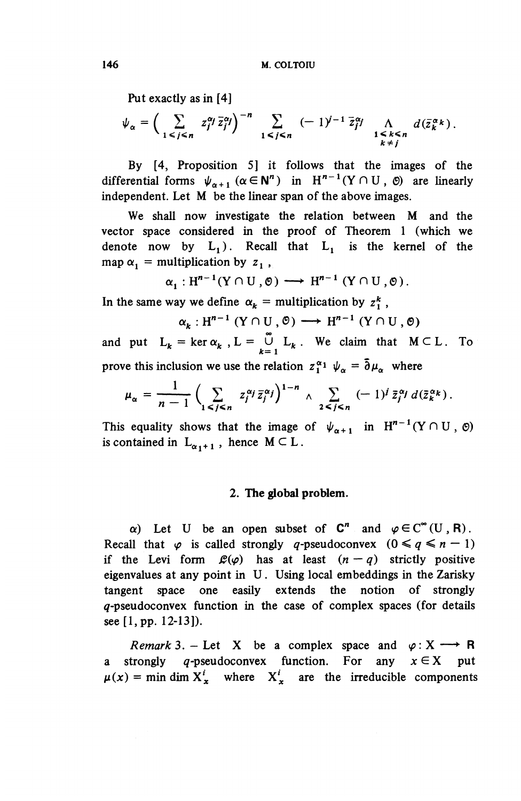Put exactly as in [4]

$$
\psi_{\alpha} = \left(\sum_{1 \leq j \leq n} z_j^{\alpha_j} \overline{z}_j^{\alpha_j}\right)^{-n} \sum_{1 \leq j \leq n} (-1)^{j-1} \overline{z}_j^{\alpha_j} \bigwedge_{\substack{1 \leq k \leq n \\ k \neq j}} d(\overline{z}_k^{\alpha_k}).
$$

By [4, Proposition 5] it follows that the images of the differential forms  $\psi_{\alpha+1}$  ( $\alpha \in \mathbb{N}^n$ ) in  $H^{n-1}(Y \cap U, \emptyset)$  are linearly independent. Let M be the linear span of the above images.

We shall now investigate the relation between M and the vector space considered in the proof of Theorem 1 (which we denote now by  $L_1$ ). Recall that  $L_1$  is the kernel of the map  $\alpha_1$  = multiplication by  $z_1$ ,

$$
\alpha_1: \mathrm{H}^{n-1}(\mathrm{Y} \cap \mathrm{U}, \mathbf{0}) \longrightarrow \mathrm{H}^{n-1}(\mathrm{Y} \cap \mathrm{U}, \mathbf{0}).
$$

In the same way we define  $\alpha_k$  = multiplication by  $z_1^k$ ,

 $\alpha_k$  :  $H^{n-1}$  (Y  $\cap$  U  $, \emptyset$ )  $\longrightarrow$   $H^{n-1}$  (Y  $\cap$  U  $, \emptyset$ )

and put  $L_k = \ker \alpha_k$ ,  $L = \bigcup_{k=1}^{\infty} L_k$ . We claim that  $M \subset L$ . To prove this inclusion we use the relation  $z_1^{\alpha_1} \psi_\alpha = \bar{\partial} \mu_\alpha$  where

$$
\mu_\alpha = \frac{1}{n-1}\Big(\sum_{1\leq j\leq n} z_j^{\alpha_j} \bar{z}_j^{\alpha_j}\Big)^{1-n}\,\wedge\,\sum_{2\leq j\leq n}\,(-\,1)^j\,\bar{z}_j^{\alpha_j}\,d(\bar{z}_k^{\alpha_k})\,.
$$

This equality shows that the image of  $\psi_{\alpha+1}$  in  $H^{n-1}(Y\cap U, \Theta)$ is contained in  $L_{\alpha_1+1}$ , hence  $M \subset L$ .

### **2. The global problem.**

a) Let U be an open subset of  $C^n$  and  $\varphi \in C^{\infty}(U, R)$ . Recall that  $\varphi$  is called strongly q-pseudoconvex  $(0 \leq q \leq n - 1)$ if the Levi form  $\mathcal{L}(\varphi)$  has at least  $(n-q)$  strictly positive eigenvalues at any point in U. Using local embeddings in the Zarisky tangent space one easily extends the notion of strongly  $q$ -pseudoconvex function in the case of complex spaces (for details see [1, pp. 12-13]).

*Remark* 3. – Let X be a complex space and  $\varphi: X \longrightarrow \mathbb{R}$ a strongly q-pseudoconvex function. For any  $x \in X$  put  $\mu(x) = \min \dim X^i_x$  where  $X^i_x$  are the irreducible components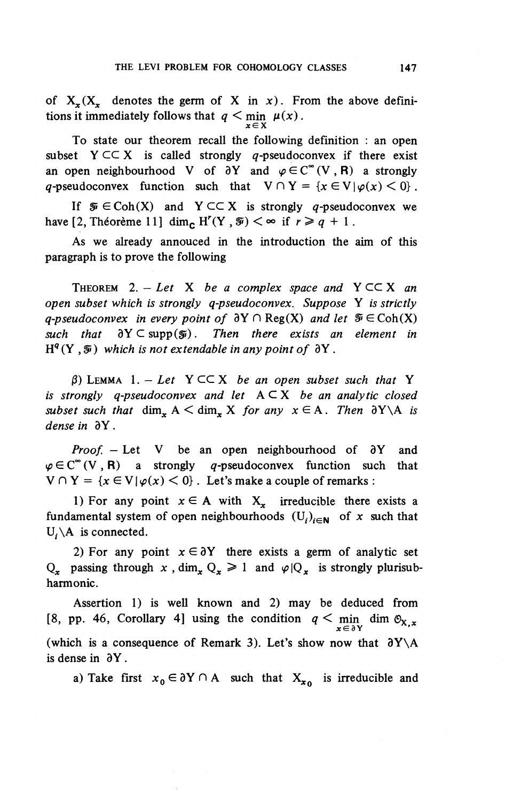of  $X_r(X_r)$  denotes the germ of X in x). From the above definitions it immediately follows that  $q < \min_{x \in X} \mu(x)$ .

To state our theorem recall the following definition : an open subset  $Y \subset \subset X$  is called strongly q-pseudoconvex if there exist an open neighbourhood V of  $\partial Y$  and  $\varphi \in C^{\infty}(V, R)$  a strongly *q*-pseudoconvex function such that  $V \cap Y = \{x \in V | \varphi(x) \leq 0\}$ .

If  $\mathcal{F} \in \text{Coh}(X)$  and  $Y \subset \subset X$  is strongly q-pseudoconvex we have [2, Theoreme 11] dim<sub>c</sub> H'(Y,  $\mathcal{F}$ ) <  $\infty$  if  $r \geq q + 1$ .

As we already annouced in the introduction the aim of this paragraph is to prove the following

THEOREM 2.  $-$  Let X be a complex space and  $Y \subset \subset X$  an *open subset which is strongly q-pseudoconvex. Suppose* Y *is strictly q-pseudoconvex in every point of*  $\partial Y \cap Reg(X)$  and let  $\mathcal{F} \in Coh(X)$  $such$  that  $\partial Y \subset \text{supp}(\mathcal{Y})$ . Then there exists an element in  $H^{q}(Y, \mathcal{F})$  which is not extendable in any point of  $\partial Y$ .

 $\beta$ ) LEMMA 1. - Let Y  $\subset \subset X$  be an open subset such that Y *is strongly q-pseudoconvex and let* A C X *be an analytic closed subset such that* dim<sub>x</sub>  $A \leq dim$ *x K for any*  $x \in A$ *. Then*  $\partial Y \setminus A$  *is* dense in  $\partial Y$ .

*Proof.* – Let V be an open neighbourhood of  $\partial Y$  and  $\varphi \in C^{\infty}(V, R)$  a strongly q-pseudoconvex function such that  $V \cap Y = \{x \in V | \varphi(x) < 0\}$ . Let's make a couple of remarks :

1) For any point  $x \in A$  with  $X_x$  irreducible there exists a fundamental system of open neighbourhoods  $(U_i)_{i\in\mathbb{N}}$  of x such that  $U_i \backslash A$  is connected.

2) For any point  $x \in \partial Y$  there exists a germ of analytic set Q<sub>r</sub> passing through x, dim<sub>x</sub>  $Q_x \ge 1$  and  $\varphi|Q_x$  is strongly plurisubharmonic.

Assertion 1) is well known and 2) may be deduced from [8, pp. 46, Corollary 4] using the condition  $q < \min_{x \in \partial Y}$  dim  $\mathcal{O}_{X,x}$ (which is a consequence of Remark 3). Let's show now that  $\partial Y \setminus A$ is dense in  $\partial Y$ .

a) Take first  $x_0 \in \partial Y \cap A$  such that  $X_{x_0}$  is irreducible and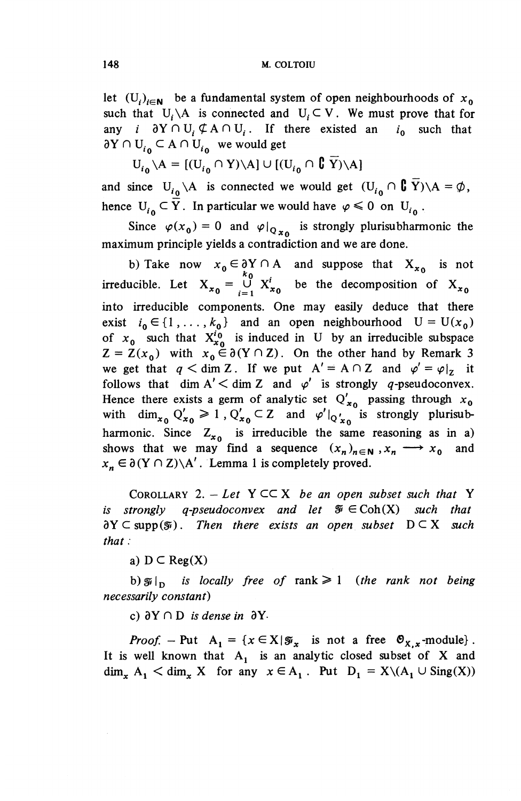let  $(U_i)_{i\in\mathbb{N}}$  be a fundamental system of open neighbourhoods of  $x_0$ such that  $U_i \setminus A$  is connected and  $U_i \subset V$ . We must prove that for any *i*  $\partial Y \cap U$ ,  $\oint A \cap U$ ,. If there existed an *i*<sub>0</sub> such that  $\partial Y \cap U_{i_0} \subset A \cap U_{i_0}$  we would get

 $U_{i_0} \setminus A = [(U_{i_0} \cap Y) \setminus A] \cup [(U_{i_0} \cap C \overline{Y}) \setminus A]$ 

and since  $U_{i_0} \setminus A$  is connected we would get  $(U_{i_0} \cap \mathbf{C} \ \overline{Y}) \setminus A = \emptyset$ , hence  $U_{i_0} \subset Y$ . In particular we would have  $\varphi \leq 0$  on  $U_{i_0}$ .

Since  $\varphi(x_0) = 0$  and  $\varphi|_{Q_{x_0}}$  is strongly plurisubharmonic the maximum principle yields a contradiction and we are done.

b) Take now  $x_0 \in \partial Y \cap A$  and suppose that  $X_{x_0}$  is not irreducible. Let  $X_{x_0} = \bigcup_{i=1}^{k_0} X_{x_0}^i$  be the decomposition of  $X_{x_0}$ into irreducible components. One may easily deduce that there exist  $i_0 \in \{1, \ldots, k_0\}$  and an open neighbourhood  $U = U(x_0)$ of  $x_0$  such that  $X_{x_0}^{i_0}$  is induced in U by an irreducible subspace  $Z = Z(x_0)$  with  $x_0 \in \partial(Y \cap Z)$ . On the other hand by Remark 3 we get that  $q < \dim Z$ . If we put  $A' = A \cap Z$  and  $\varphi' = \varphi|_{z}$  it follows that dim  $A' <$  dim Z and  $\varphi'$  is strongly q-pseudoconvex. Hence there exists a germ of analytic set  $Q'_{x_0}$  passing through  $x_0$ with  $\dim_{x_0} Q'_{x_0} \ge 1$ ,  $Q'_{x_0} \subset Z$  and  $\varphi'|_{Q'_{x_0}}$  is strongly plurisubharmonic. Since  $Z_{x_0}$  is irreducible the same reasoning as in a) shows that we may find a sequence  $(x_n)_{n \in \mathbb{N}}$ ,  $x_n \longrightarrow x_0$  and  $x_n \in \partial(Y \cap Z) \backslash A'$ . Lemma 1 is completely proved.

COROLLARY 2.  $-$  Let Y  $\subset \subset X$  be an open subset such that Y *is strongly q-pseudoconvex and let*  $\mathcal{F} \in \text{Coh}(X)$  *such that*  $\partial Y \subset \text{supp}(\mathcal{F})$ . Then there exists an open subset  $D \subset X$  such *that :*

a)  $D \subset Reg(X)$ 

b)  $\mathfrak{F}|_{\mathcal{D}}$  *is locally free of* rank  $\geq 1$  (the rank not being *necessarily constant)*

c)  $\partial Y \cap D$  *is dense in*  $\partial Y$ .

*Proof.* – Put  $A_1 = \{x \in X | \mathcal{F}_x \text{ is not a free } \mathcal{O}_{X,x} \text{-module} \}.$ It is well known that  $A_1$  is an analytic closed subset of X and  $\dim_{\mathbf{x}} A_1 \le \dim_{\mathbf{x}} X$  for any  $x \in A_1$ . Put  $D_1 = X \setminus (A_1 \cup \text{Sing}(X))$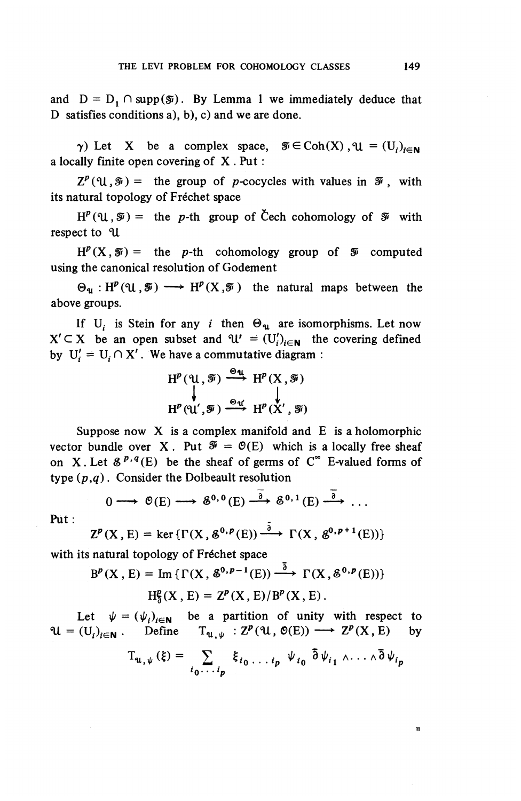and  $D = D_1 \cap supp(\mathcal{F})$ . By Lemma 1 we immediately deduce that D satisfies conditions a), b), c) and we are done.

 $\gamma$ ) Let X be a complex space,  $\mathcal{F} \in \text{Coh}(X)$ ,  $\mathcal{H} = (U_i)_{i \in \mathbb{N}}$ a locally finite open covering of X . Put :

 $Z^p(\mathfrak{U},\mathfrak{F}) =$  the group of p-cocycles with values in  $\mathfrak{F}$ , with its natural topology of Fréchet space

 $H^p(\mathfrak{U}, \mathcal{F}) =$  the p-th group of Čech cohomology of  $\mathcal F$  with respect to U

 $H^{p}(X,\mathcal{F}) =$  the p-th cohomology group of  $\mathcal{F}$  computed using the canonical resolution of Godement

 $\Theta_{\mathfrak{u}} : H^p(\mathfrak{u},\mathcal{F}) \longrightarrow H^p(X,\mathcal{F})$  the natural maps between the above groups.

If U<sub>i</sub> is Stein for any *i* then  $\Theta_{\mathbf{u}}$  are isomorphisms. Let now  $X' \subseteq X$  be an open subset and  $\mathcal{U}' = (U_i')_{i \in \mathbb{N}}$  the covering defined by  $U'_i = U_i \cap X'$ . We have a commutative diagram :

$$
H^{p}(\mathfrak{A}, \mathfrak{F}) \xrightarrow{\Theta_{\mathfrak{A}}} H^{p}(X, \mathfrak{F})
$$
  

$$
H^{p}(\mathfrak{A}', \mathfrak{F}) \xrightarrow{\Theta_{\mathfrak{A}'}} H^{p}(X', \mathfrak{F})
$$

Suppose now  $X$  is a complex manifold and  $E$  is a holomorphic vector bundle over X. Put  $\mathcal{F} = \mathcal{O}(E)$  which is a locally free sheaf on X. Let  $\mathcal{E}^{p,q}(E)$  be the sheaf of germs of  $C^{\infty}$  E-valued forms of type *(p,q)*. Consider the Dolbeault resolution

$$
0 \longrightarrow \mathfrak{G}(E) \longrightarrow \mathfrak{G}^{0,0}(E) \stackrel{\overline{\partial}}{\longrightarrow} \mathfrak{G}^{0,1}(E) \stackrel{\overline{\partial}}{\longrightarrow} \ldots
$$

**Put:**

$$
Z^{p}(X, E) = \ker \{ \Gamma(X, \mathcal{E}^{0, p}(E)) \xrightarrow{\delta} \Gamma(X, \mathcal{E}^{0, p+1}(E)) \}
$$

with its natural topology of Fréchet space

$$
B^{p}(X, E) = \text{Im}\left\{\Gamma(X, \mathcal{E}^{0, p-1}(E)) \stackrel{\partial}{\longrightarrow} \Gamma(X, \mathcal{E}^{0, p}(E))\right\}
$$

$$
H^p_5(X, E) = Z^p(X, E)/B^p(X, E).
$$

Let  $\psi = (\psi_i)_{i \in \mathbb{N}}$  be a partition of unity with respect to  $\mathfrak{A} = (U_i)_{i \in \mathbb{N}}$ . Define  $T_{\mathfrak{A}, \psi} : Z^p(\mathfrak{A}, \mathfrak{O}(E)) \longrightarrow Z^p(X, E)$  by

$$
T_{u,\psi}(\xi) = \sum_{i_0 \cdots i_p} \xi_{i_0 \cdots i_p} \psi_{i_0} \bar{\partial} \psi_{i_1} \wedge \cdots \wedge \bar{\partial} \psi_{i_p}
$$

 $\mathbf{u}$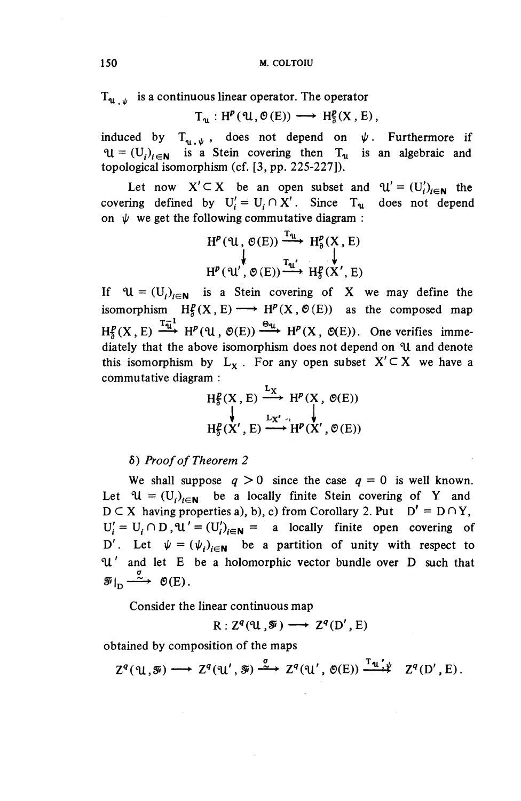$T_{\rm u}$  is a continuous linear operator. The operator

 $T_{\mathfrak{q}}: H^p(\mathfrak{A}, \mathfrak{G}(E)) \longrightarrow H_{\mathfrak{A}}^p(X,E),$ 

induced by  $T_{\mathbf{u}, \psi}$ , does not depend on  $\psi$ . Furthermore if  $U = (U_i)_{i \in \mathbb{N}}$  is a Stein covering then  $T_u$  is an algebraic and topological isomorphism (cf. [3, pp. 225-227]).

Let now  $X' \subset X$  be an open subset and  $\mathcal{U}' = (U_i')_{i \in \mathbb{N}}$  the covering defined by  $U'_i = U_i \cap X'$ . Since  $T_u$  does not depend on  $\psi$  we get the following commutative diagram :

$$
H^{p}(\mathfrak{A}, \mathfrak{G}(E)) \xrightarrow{T_{\mathfrak{A}}} H^{p}_{\mathfrak{d}}(X, E)
$$
  

$$
H^{p}(\mathfrak{A}', \mathfrak{G}(E)) \xrightarrow{T_{\mathfrak{A}'}} H^{p}_{\mathfrak{d}}(X', E)
$$

If  $\mathcal{U} = (U_i)_{i \in \mathbb{N}}$  is a Stein covering of X we may define the isomorphism  $H^p_\delta(X, E) \longrightarrow H^p(X, \mathcal{O}(E))$  as the composed map  $H_5^p(X, E) \xrightarrow{T_{\overline{u}}} H^p(\mathfrak{U}, \mathfrak{O}(E)) \xrightarrow{\Theta_{\mathfrak{U}}} H^p(X, \mathfrak{O}(E)).$  One verifies immediately that the above isomorphism does not depend on ^U and denote this isomorphism by  $L_x$ . For any open subset  $X' \subset X$  we have a commutative diagram :

$$
H_0^p(X, E) \xrightarrow{L_X} H^p(X, \mathcal{O}(E))
$$
  
\n
$$
\downarrow H_0^p(X', E) \xrightarrow{L_{X', \cdot}} H^p(X', \mathcal{O}(E))
$$

6) *Proof of Theorem 2*

We shall suppose  $q > 0$  since the case  $q = 0$  is well known. Let  $\mathcal{U} = (U_i)_{i \in \mathbb{N}}$  be a locally finite Stein covering of Y and  $D \subset X$  having properties a), b), c) from Corollary 2. Put  $D' = D \cap Y$ ,  $U_i' = U_i \cap D$ ,  $U' = (U_i')_{i \in \mathbb{N}} =$  a locally finite open covering of D'. Let  $\psi = (\psi_i)_{i \in \mathbb{N}}$  be a partition of unity with respect to *c \Jit* and let E be a holomorphic vector bundle over D such that  $\mathcal{F}|_{\mathsf{D}} \xrightarrow{\sigma} \mathcal{O}(E).$ 

Consider the linear continuous map

$$
R: Z^q(\mathfrak{A}, \mathcal{F}) \longrightarrow Z^q(D', E)
$$

obtained by composition of the maps

 $Z^q(\mathfrak{U},\mathfrak{F})\longrightarrow Z^q(\mathfrak{U}',\mathfrak{F})\stackrel{\sigma}{\longrightarrow} Z^q(\mathfrak{U}',\mathfrak{O}(E))\stackrel{\mathrm{T}_{\mathfrak{U}'\psi}}{\longrightarrow} Z^q(D',E).$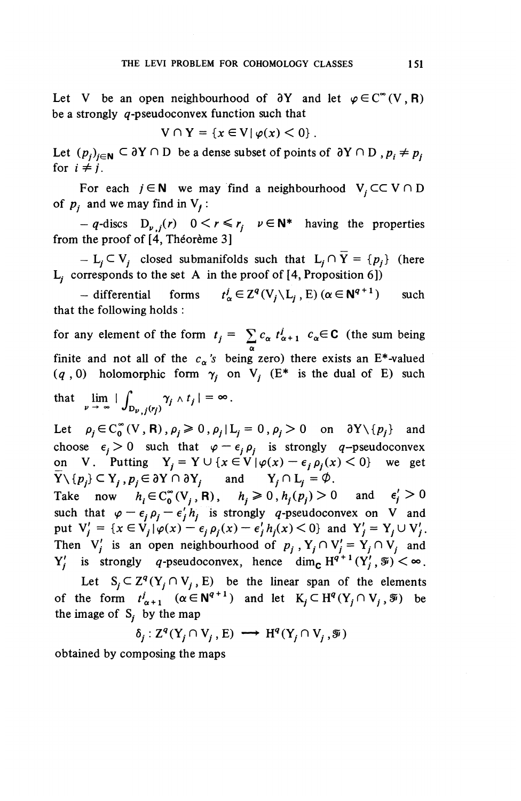Let V be an open neighbourhood of  $\partial Y$  and let  $\varphi \in C^{\infty}(V,R)$ be a strongly  $q$ -pseudoconvex function such that

$$
V \cap Y = \{x \in V | \varphi(x) < 0\}.
$$

Let  $(p_i)_{i \in \mathbb{N}} \subset \partial Y \cap D$  be a dense subset of points of  $\partial Y \cap D$ ,  $p_i \neq p_i$ for  $i \neq j$ .

For each  $j \in \mathbb{N}$  we may find a neighbourhood  $V_j \subset \subset V \cap D$ of  $p_i$  and we may find in  $V_i$ :

 $-q$ -discs  $D_{\nu}f(r)$   $0 \leq r \leq r_i$   $\nu \in \mathbb{N}^*$  having the properties from the proof of  $[4,$  Théorème 3]

 $-L_j\subset V_j$  closed submanifolds such that  $L_j\cap \overline{Y} = \{p_j\}$  (here  $L_i$  corresponds to the set A in the proof of [4, Proposition 6])

 $-$  differential forms  $t^j_\alpha \in Z^q (V_i \backslash L_i, E)$   $(\alpha \in N^{q+1})$  such that the following holds :

for any element of the form  $t_j = \sum c_\alpha t^j_{\alpha+1}$   $c_\alpha \in \mathbb{C}$  (the sum being a finite and not all of the  $c_a$ 's being zero) there exists an E<sup>\*</sup>-valued  $(q, 0)$  holomorphic form  $\gamma_i$  on V<sub>i</sub> (E<sup>\*</sup> is the dual of E) such that  $\lim_{p \to \infty} |\int_{D_{p} f(r)} \gamma_j \wedge t_j| = \infty$ .

Let  $\rho_i \in C_0^{\infty}(V,R)$ ,  $\rho_i \geq 0$ ,  $\rho_i|L_i= 0$ ,  $\rho_i>0$  on  $\partial Y\setminus\{p_i\}$  and choose  $\epsilon_i > 0$  such that  $\varphi - \epsilon_i \rho_i$  is strongly *q*-pseudoconvex on V. Putting  $Y_i = Y \cup \{x \in V | \varphi(x) - \epsilon_i \rho_i(x) \leq 0\}$  we get  $\overline{Y} \setminus \{p_i\} \subset Y_i$ ,  $p_i \in \partial Y \cap \partial Y_i$  and  $Y_i \cap L_i = \emptyset$ .

Take now  $h_i \in C_0^\infty (V_i, R)$ ,  $h_i \ge 0$ ,  $h_i(p_i) > 0$  and  $\epsilon_i' > 0$ such that  $\varphi - \epsilon_j \rho_j - \epsilon'_j h_j$  is strongly q-pseudoconvex on V and<br>put  $V'_j = \{x \in V_j | \varphi(x) - \epsilon_j \rho_j(x) - \epsilon'_j h_j(x) < 0\}$  and  $Y'_j = Y_j \cup V'_j$ . Then  $V_i'$  is an open neighbourhood of  $p_j$ ,  $Y_j \cap V_j' = Y_j \cap V_j$  and  $Y'_i$  is strongly q-pseudoconvex, hence dim<sub>c</sub>  $H^{q+1}(Y'_i, \mathcal{F}) < \infty$ 

Let  $S_i \subset Z^q(Y_i \cap V_i, E)$  be the linear span of the elements of the form  $t_{\alpha+1}^j$  ( $\alpha \in \mathbb{N}^{q+1}$ ) and let  $K_i \subset H^q(Y_i \cap V_i, \mathcal{F})$  be the image of  $S_i$  by the map

$$
\delta_j: \mathbb{Z}^q(Y_j \cap V_j, E) \longrightarrow H^q(Y_j \cap V_j, \mathcal{F})
$$

obtained by composing the maps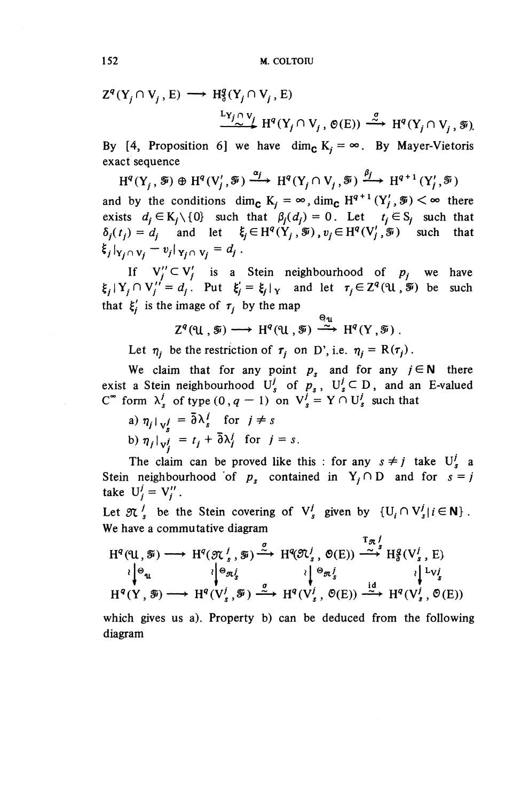$$
Z^{q}(Y_{j} \cap V_{j}, E) \longrightarrow H_{\delta}^{q}(Y_{j} \cap V_{j}, E)
$$
  

$$
\xrightarrow{L_{Y_{j} \cap V_{j}} H^{q}(Y_{j} \cap V_{j}, \Theta(E))} \xrightarrow{\sigma} H^{q}(Y_{j} \cap V_{j}, \mathcal{F})
$$

By [4, Proposition 6] we have dim<sub>c</sub>  $K_i = \infty$ . By Mayer-Vietoris exact sequence

 $H^q(Y_i,\mathcal{F})\oplus H^q(V_i',\mathcal{F})\xrightarrow{\alpha_j} H^q(Y_i\cap V_j,\mathcal{F})\xrightarrow{\beta_j} H^{q+1}(Y_i',\mathcal{F})$ and by the conditions dim<sub>c</sub>  $K_i = \infty$ , dim<sub>c</sub>  $H^{q+1}(Y_i', \mathcal{F}) < \infty$  there exists  $d_i \in K_i \setminus \{0\}$  such that  $\beta_i(d_i) = 0$ . Let  $t_i \in S_i$  such that  $\delta_i(t_j) = d_i$  and let  $\xi_j \in H^q(Y_j, \mathcal{F}), v_j \in H^q(V'_j, \mathcal{F})$  such that  $\xi_j |_{Y_j \cap V_j} - v_j |_{Y_j \cap V_j} = d_j$ .

If  $V''_i \subset V'_i$  is a Stein neighbourhood of  $p_i$  we have  $\xi_i$   $|Y_i \cap V_i'| = d_i$ . Put  $\xi_i' = \xi_i|_Y$  and let  $\tau_i \in \mathbb{Z}^q(\mathfrak{U}, \mathfrak{F})$  be such that  $\xi_i'$  is the image of  $\tau_i$  by the map

$$
Z^{q}(\mathfrak{A},\mathfrak{F})\longrightarrow H^{q}(\mathfrak{A},\mathfrak{F})\stackrel{\Theta_{\mathfrak{A}}}{\longrightarrow}H^{q}(Y,\mathfrak{F})\ .
$$

Let  $\eta_i$  be the restriction of  $\tau_i$  on D', i.e.  $\eta_i = R(\tau_i)$ .

We claim that for any point  $p<sub>s</sub>$  and for any  $j \in N$  there exist a Stein neighbourhood  $U_s^j$  of  $p_s$ ,  $U_s^j \subset D$ , and an E-valued  $C^{\infty}$  form  $\lambda_s^j$  of type  $(0, q - 1)$  on  $V_s^j = Y \cap U_s^j$  such that  $C^{\infty}$  form  $\lambda_s^j$  of type  $(0, q - 1)$  on  $V_s^j = Y \cap U_s^j$  such that

a)  $\eta_j|_{\mathbf{v}_j^j} = \overline{\partial} \lambda_s^j$  for  $j \neq s$ <br>b)  $\eta_j|_{\mathbf{v}_j^j} = t_j + \overline{\partial} \lambda_j^j$  for  $j = s$ .

The claim can be proved like this : for any  $s \neq j$  take  $U^j_s$  a Stein neighbourhood of  $p_s$  contained in  $Y_i \cap D$  and for  $s = j$ take  $U_i^j = V_i^{\prime\prime}$ .

Let  $\mathfrak{N}^j$ , be the Stein covering of  $V^j$ , given by  $\{U_i \cap V^j | i \in \mathbb{N} \}$ . We have a commutative diagram  $T_{\mathcal{R}}$ 

 $H^q(\mathfrak{A}, \mathfrak{F}) \longrightarrow H^q(\mathfrak{N}^j_s, \mathfrak{F}) \xrightarrow{\sigma} H^q(\mathfrak{N}^j_s, \mathfrak{O}(E)) \xrightarrow{\tau_{\mathfrak{R}}^j} H^q_{\mathfrak{d}}(V^j_s, E)$  $R^1_{\mathcal{S}}(\mathcal{C}_s, \mathcal{Y}) \longrightarrow H^1(\mathcal{C}\mathcal{C}_s, \mathcal{O}(E)) \longrightarrow H^2_{\mathcal{S}}(\mathcal{C}_s, E)$ <br>  $R^1_{\mathcal{S}}(\mathcal{C}_s, \mathcal{Y}) \longrightarrow H^2_{\mathcal{S}}(\mathcal{C}_s, \mathcal{V})$  $\begin{array}{ccc} \n\lambda_{\alpha}^{(1)}, \mathcal{P} & \longrightarrow & \n\Lambda_{\alpha}^{(1)} & \longrightarrow & \n\lambda_{\alpha}^{(2)} & \lambda_{\alpha}^{(1)} & \lambda_{\alpha}^{(2)} & \n\end{array}$  $H^q(Y, \mathcal{F}) \longrightarrow H^q(V_s^j, \mathcal{F}) \xrightarrow{\sigma} H^q(V_s^j, \mathcal{O}(E)) \xrightarrow{\text{id}} H^q(V_s^j, \mathcal{O}(E))$ 

which gives us a). Property b) can be deduced from the following diagram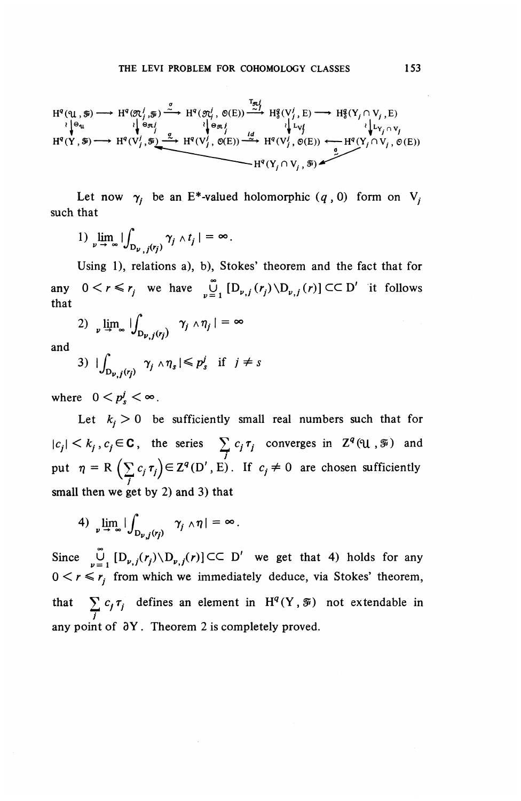$$
H^{q}(\mathfrak{A},\mathfrak{F})\longrightarrow H^{q}(\mathfrak{A}_{j}^{\prime},\mathfrak{F})\xrightarrow{\sigma} H^{q}(\mathfrak{A}_{j}^{\prime},\mathfrak{G}(E))\xrightarrow{\tau_{\mathfrak{A}}^{\prime}} H^{q}_{3}(V_{j}^{\prime},E)\longrightarrow H^{q}_{3}(Y_{j}\cap V_{j},E)
$$
\n
$$
\xrightarrow{\iint_{\mathfrak{B}_{\mathfrak{A}}^{\prime}}} \iint_{\mathfrak{B}_{\mathfrak{A}}^{\prime}} \mathfrak{g}_{\mathfrak{A}}^{\prime}(\mathfrak{g}_{\mathfrak{A}}^{\prime},\mathfrak{G}(E))\xrightarrow{\tau_{\mathfrak{A}}^{\prime}} H^{q}_{3}(V_{j}^{\prime},E)\longrightarrow H^{q}_{3}(Y_{j}\cap V_{j},E)
$$
\n
$$
H^{q}(Y,\mathfrak{F})\longrightarrow H^{q}(V_{j}^{\prime},\mathfrak{F})\xrightarrow{\alpha} H^{q}(V_{j}^{\prime},\mathfrak{G}(E))\xrightarrow{\iint_{\mathfrak{A}}^{\prime}} H^{q}(Y_{j}\cap V_{j},\mathfrak{G}(E))
$$
\n
$$
H^{q}(Y_{j}\cap V_{j},\mathfrak{F})\xrightarrow{\sigma} H^{q}(Y_{j}\cap V_{j},\mathfrak{F})
$$

Let now  $\gamma_i$  be an E<sup>\*</sup>-valued holomorphic  $(q, 0)$  form on V<sub>i</sub> such that

1)  $\lim_{\nu \to \infty} \left| \int_{D_{\nu,j}(r_j)} \gamma_j \wedge t_j \right| = \infty$ .

Using 1), relations a), b). Stokes' theorem and the fact that for any  $0 \lt r \le r_i$  we have  $\bigcup_{i=1}^{\infty} [D_{\nu,i}(r_i) \setminus D_{\nu,i}(r)] \subset \subset D'$  it follows that

2)  $\lim_{\nu \to \infty} \iint_{\mathcal{D}_{\nu,j}(r_j)} \gamma_j \wedge \eta_j | = \infty$ 

and

3) 
$$
|\int_{D_{\nu,j}(r_j)} \gamma_j \wedge \eta_s| \leq p_s^j \text{ if } j \neq s
$$

where  $0 < p^j < \infty$ .

Let  $k_i > 0$  be sufficiently small real numbers such that for  $|c_j| < k_j, c_j \in \mathbf{C}$ , the series  $\sum c_j \tau_j$  converges in  $\mathbb{Z}^q(\mathfrak{U}, \mathcal{F})$  and put  $\eta = R \left(\sum c_j \tau_j\right) \in Z^q(D', E)$ . If  $c_j \neq 0$  are chosen sufficiently  $\left(\sum_{j} c_j \tau_{j}\right)$ small then we get by 2) and 3) that

4) 
$$
\lim_{\nu \to \infty} |\int_{D_{\nu,j}(r_j)} \gamma_j \wedge \eta| = \infty.
$$

Since  $\bigcup_{n=1}^{\infty}$   $[D_{\nu,j}(r_j)\setminus D_{\nu,j}(r)]\subset\subset D'$  we get that 4) holds for any  $0 < r \le r_i$  from which we immediately deduce, via Stokes' theorem, that  $\sum_{i} c_i \tau_i$ , defines an element in  $H^q(Y,\mathcal{F})$  not extendable in  $\frac{2}{J}$ any point of  $\partial Y$ . Theorem 2 is completely proved.